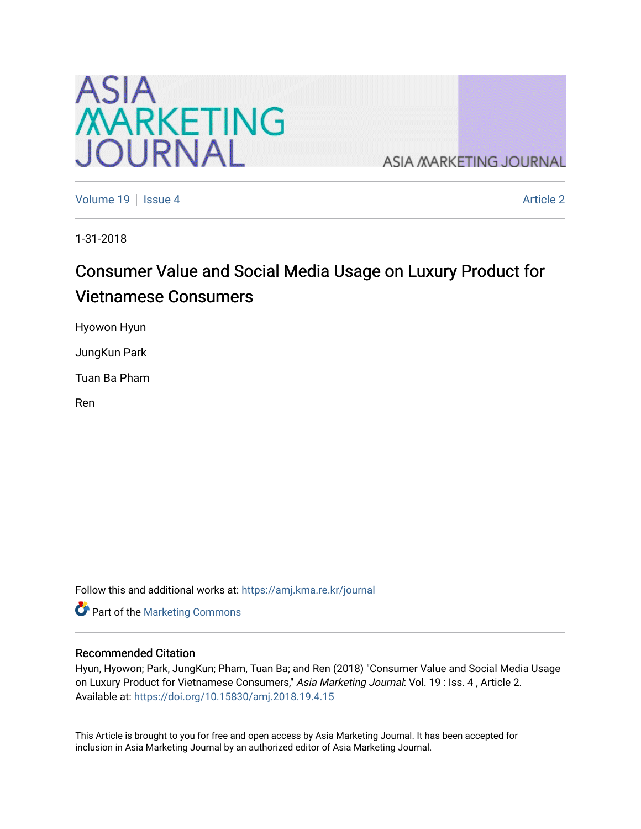

**ASIA MARKETING JOURNAL** 

[Volume 19](https://amj.kma.re.kr/journal/vol19) Setsue 4 [Article 2](https://amj.kma.re.kr/journal/vol19/iss4/2) Article 2 Article 2 Article 2 Article 2 Article 2 Article 2

1-31-2018

# Consumer Value and Social Media Usage on Luxury Product for Vietnamese Consumers

Hyowon Hyun

JungKun Park

Tuan Ba Pham

Ren

Follow this and additional works at: [https://amj.kma.re.kr/journal](https://amj.kma.re.kr/journal?utm_source=amj.kma.re.kr%2Fjournal%2Fvol19%2Fiss4%2F2&utm_medium=PDF&utm_campaign=PDFCoverPages) 

Part of the [Marketing Commons](http://network.bepress.com/hgg/discipline/638?utm_source=amj.kma.re.kr%2Fjournal%2Fvol19%2Fiss4%2F2&utm_medium=PDF&utm_campaign=PDFCoverPages)

#### Recommended Citation

Hyun, Hyowon; Park, JungKun; Pham, Tuan Ba; and Ren (2018) "Consumer Value and Social Media Usage on Luxury Product for Vietnamese Consumers," Asia Marketing Journal: Vol. 19 : Iss. 4, Article 2. Available at:<https://doi.org/10.15830/amj.2018.19.4.15>

This Article is brought to you for free and open access by Asia Marketing Journal. It has been accepted for inclusion in Asia Marketing Journal by an authorized editor of Asia Marketing Journal.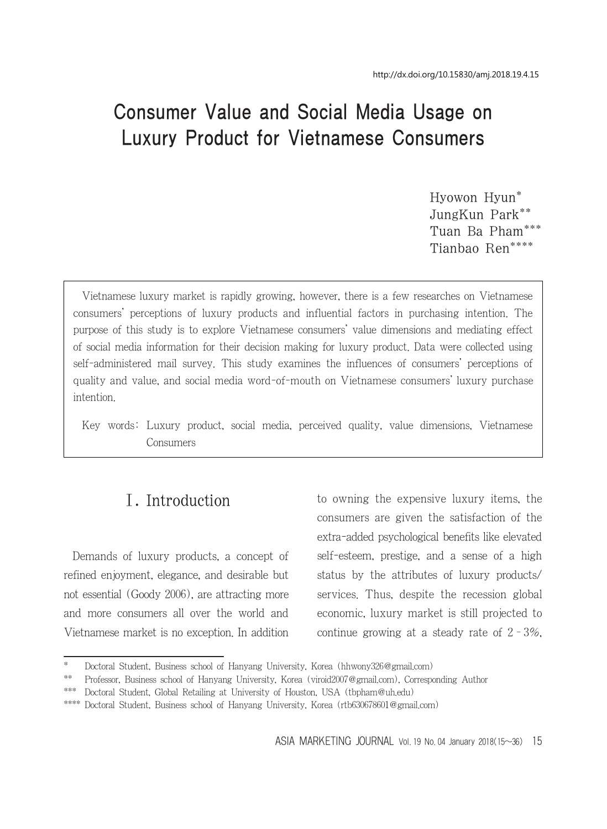# Consumer Value and Social Media Usage on Luxury Product for Vietnamese Consumers

Hyowon Hyun\* JungKun Park\*\* Tuan Ba Pham\*\*\* Tianbao Ren\*\*\*\*

Vietnamese luxury market is rapidly growing, however, there is a few researches on Vietnamese consumers' perceptions of luxury products and influential factors in purchasing intention. The purpose of this study is to explore Vietnamese consumers' value dimensions and mediating effect of social media information for their decision making for luxury product. Data were collected using self-administered mail survey. This study examines the influences of consumers' perceptions of quality and value, and social media word-of-mouth on Vietnamese consumers' luxury purchase intention.

Key words: Luxury product, social media, perceived quality, value dimensions, Vietnamese Consumers

# Ⅰ. Introduction

Demands of luxury products, a concept of refined enjoyment, elegance, and desirable but not essential (Goody 2006), are attracting more and more consumers all over the world and Vietnamese market is no exception. In addition to owning the expensive luxury items, the consumers are given the satisfaction of the extra-added psychological benefits like elevated self-esteem, prestige, and a sense of a high status by the attributes of luxury products/ services. Thus, despite the recession global economic, luxury market is still projected to continue growing at a steady rate of  $2 - 3\%$ ,

Doctoral Student, Business school of Hanyang University, Korea (hhwony326@gmail.com)

<sup>\*\*</sup> Professor, Business school of Hanyang University, Korea (viroid2007@gmail.com), Corresponding Author

<sup>\*\*\*</sup> Doctoral Student, Global Retailing at University of Houston, USA (tbpham@uh.edu)

<sup>\*\*\*\*</sup> Doctoral Student, Business school of Hanyang University, Korea (rtb630678601@gmail.com)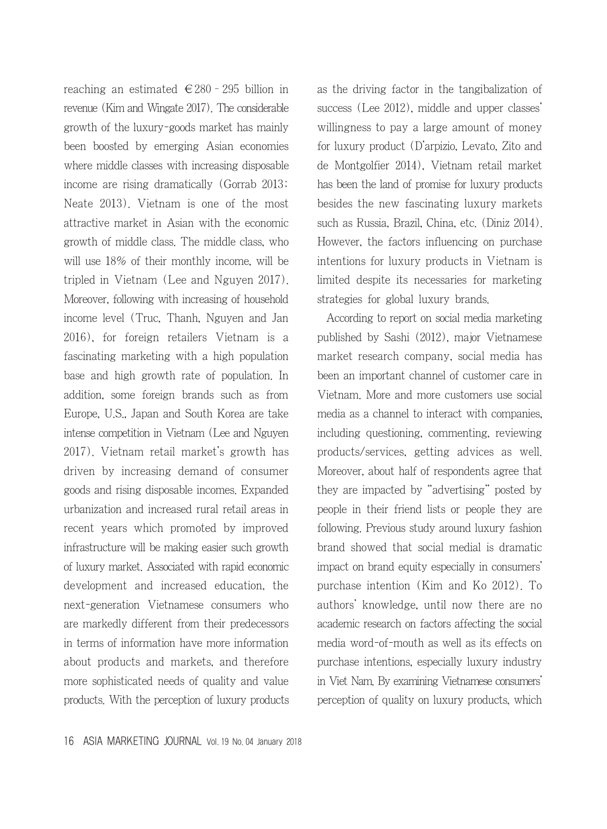reaching an estimated  $\in$  280 - 295 billion in revenue (Kim and Wingate 2017). The considerable growth of the luxury-goods market has mainly been boosted by emerging Asian economies where middle classes with increasing disposable income are rising dramatically (Gorrab 2013; Neate 2013). Vietnam is one of the most attractive market in Asian with the economic growth of middle class. The middle class, who will use 18% of their monthly income, will be tripled in Vietnam (Lee and Nguyen 2017). Moreover, following with increasing of household income level (Truc, Thanh, Nguyen and Jan 2016), for foreign retailers Vietnam is a fascinating marketing with a high population base and high growth rate of population. In addition, some foreign brands such as from Europe, U.S., Japan and South Korea are take intense competition in Vietnam (Lee and Nguyen 2017). Vietnam retail market's growth has driven by increasing demand of consumer goods and rising disposable incomes. Expanded urbanization and increased rural retail areas in recent years which promoted by improved infrastructure will be making easier such growth of luxury market. Associated with rapid economic development and increased education, the next-generation Vietnamese consumers who are markedly different from their predecessors in terms of information have more information about products and markets, and therefore more sophisticated needs of quality and value products. With the perception of luxury products as the driving factor in the tangibalization of success (Lee 2012), middle and upper classes' willingness to pay a large amount of money for luxury product (D'arpizio, Levato, Zito and de Montgolfier 2014), Vietnam retail market has been the land of promise for luxury products besides the new fascinating luxury markets such as Russia, Brazil, China, etc. (Diniz 2014). However, the factors influencing on purchase intentions for luxury products in Vietnam is limited despite its necessaries for marketing strategies for global luxury brands.

According to report on social media marketing published by Sashi (2012), major Vietnamese market research company, social media has been an important channel of customer care in Vietnam. More and more customers use social media as a channel to interact with companies, including questioning, commenting, reviewing products/services, getting advices as well. Moreover, about half of respondents agree that they are impacted by "advertising" posted by people in their friend lists or people they are following. Previous study around luxury fashion brand showed that social medial is dramatic impact on brand equity especially in consumers' purchase intention (Kim and Ko 2012). To authors' knowledge, until now there are no academic research on factors affecting the social media word-of-mouth as well as its effects on purchase intentions, especially luxury industry in Viet Nam. By examining Vietnamese consumers' perception of quality on luxury products, which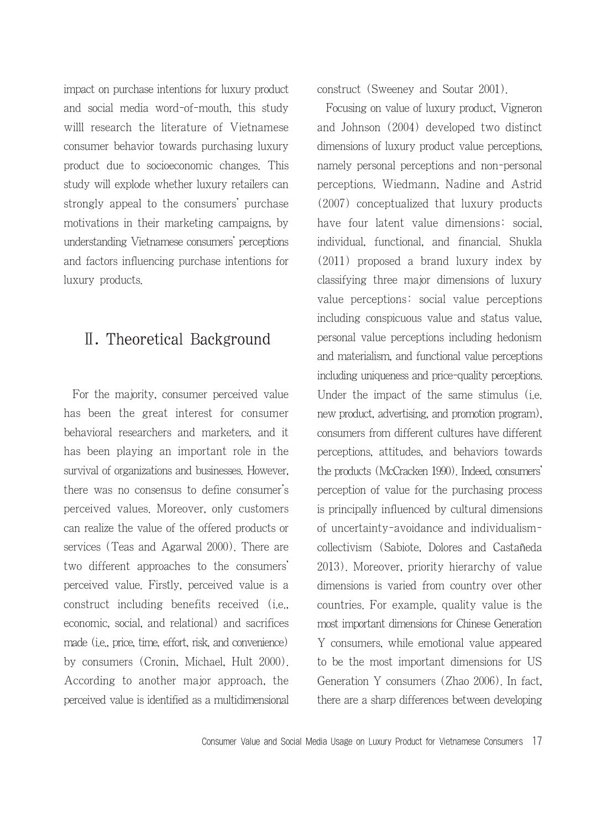impact on purchase intentions for luxury product and social media word-of-mouth, this study willl research the literature of Vietnamese consumer behavior towards purchasing luxury product due to socioeconomic changes. This study will explode whether luxury retailers can strongly appeal to the consumers' purchase motivations in their marketing campaigns, by understanding Vietnamese consumers' perceptions and factors influencing purchase intentions for luxury products.

# Ⅱ. Theoretical Background

For the majority, consumer perceived value has been the great interest for consumer behavioral researchers and marketers, and it has been playing an important role in the survival of organizations and businesses. However, there was no consensus to define consumer's perceived values. Moreover, only customers can realize the value of the offered products or services (Teas and Agarwal 2000). There are two different approaches to the consumers' perceived value. Firstly, perceived value is a construct including benefits received (i.e., economic, social, and relational) and sacrifices made (i.e., price, time, effort, risk, and convenience) by consumers (Cronin, Michael, Hult 2000). According to another major approach, the perceived value is identified as a multidimensional construct (Sweeney and Soutar 2001).

Focusing on value of luxury product, Vigneron and Johnson (2004) developed two distinct dimensions of luxury product value perceptions, namely personal perceptions and non-personal perceptions. Wiedmann, Nadine and Astrid (2007) conceptualized that luxury products have four latent value dimensions: social, individual, functional, and financial. Shukla (2011) proposed a brand luxury index by classifying three major dimensions of luxury value perceptions: social value perceptions including conspicuous value and status value, personal value perceptions including hedonism and materialism, and functional value perceptions including uniqueness and price-quality perceptions. Under the impact of the same stimulus (i.e. new product, advertising, and promotion program), consumers from different cultures have different perceptions, attitudes, and behaviors towards the products (McCracken 1990). Indeed, consumers' perception of value for the purchasing process is principally influenced by cultural dimensions of uncertainty-avoidance and individualismcollectivism (Sabiote, Dolores and Castañeda 2013). Moreover, priority hierarchy of value dimensions is varied from country over other countries. For example, quality value is the most important dimensions for Chinese Generation Y consumers, while emotional value appeared to be the most important dimensions for US Generation Y consumers (Zhao 2006). In fact, there are a sharp differences between developing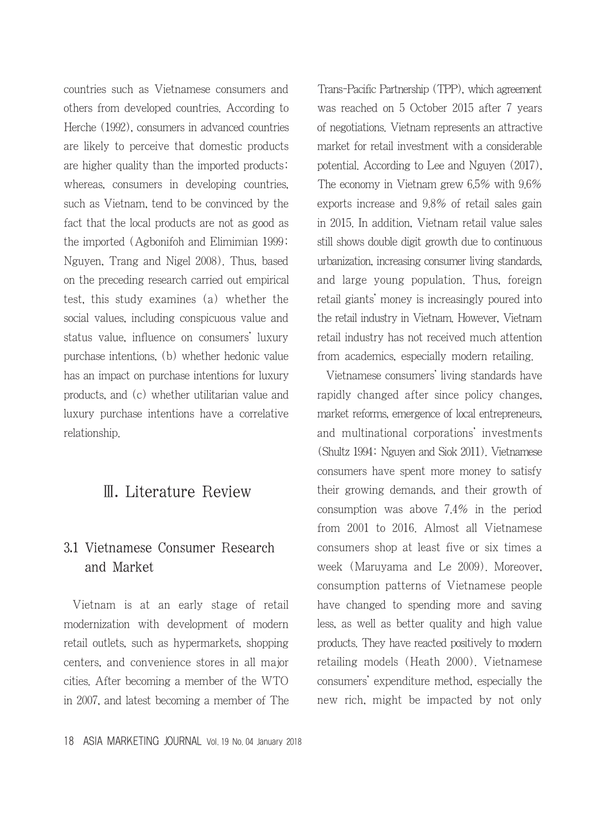countries such as Vietnamese consumers and others from developed countries. According to Herche (1992), consumers in advanced countries are likely to perceive that domestic products are higher quality than the imported products; whereas, consumers in developing countries, such as Vietnam, tend to be convinced by the fact that the local products are not as good as the imported (Agbonifoh and Elimimian 1999; Nguyen, Trang and Nigel 2008). Thus, based on the preceding research carried out empirical test, this study examines (a) whether the social values, including conspicuous value and status value, influence on consumers' luxury purchase intentions, (b) whether hedonic value has an impact on purchase intentions for luxury products, and (c) whether utilitarian value and luxury purchase intentions have a correlative relationship.

## Ⅲ. Literature Review

## 3.1 Vietnamese Consumer Research and Market

Vietnam is at an early stage of retail modernization with development of modern retail outlets, such as hypermarkets, shopping centers, and convenience stores in all major cities. After becoming a member of the WTO in 2007, and latest becoming a member of The Trans-Pacific Partnership (TPP), which agreement was reached on 5 October 2015 after 7 years of negotiations. Vietnam represents an attractive market for retail investment with a considerable potential. According to Lee and Nguyen (2017), The economy in Vietnam grew 6.5% with 9.6% exports increase and 9.8% of retail sales gain in 2015. In addition, Vietnam retail value sales still shows double digit growth due to continuous urbanization, increasing consumer living standards, and large young population. Thus, foreign retail giants' money is increasingly poured into the retail industry in Vietnam. However, Vietnam retail industry has not received much attention from academics, especially modern retailing.

Vietnamese consumers' living standards have rapidly changed after since policy changes, market reforms, emergence of local entrepreneurs, and multinational corporations' investments (Shultz 1994; Nguyen and Siok 2011). Vietnamese consumers have spent more money to satisfy their growing demands, and their growth of consumption was above 7.4% in the period from 2001 to 2016. Almost all Vietnamese consumers shop at least five or six times a week (Maruyama and Le 2009). Moreover, consumption patterns of Vietnamese people have changed to spending more and saving less, as well as better quality and high value products. They have reacted positively to modern retailing models (Heath 2000). Vietnamese consumers' expenditure method, especially the new rich, might be impacted by not only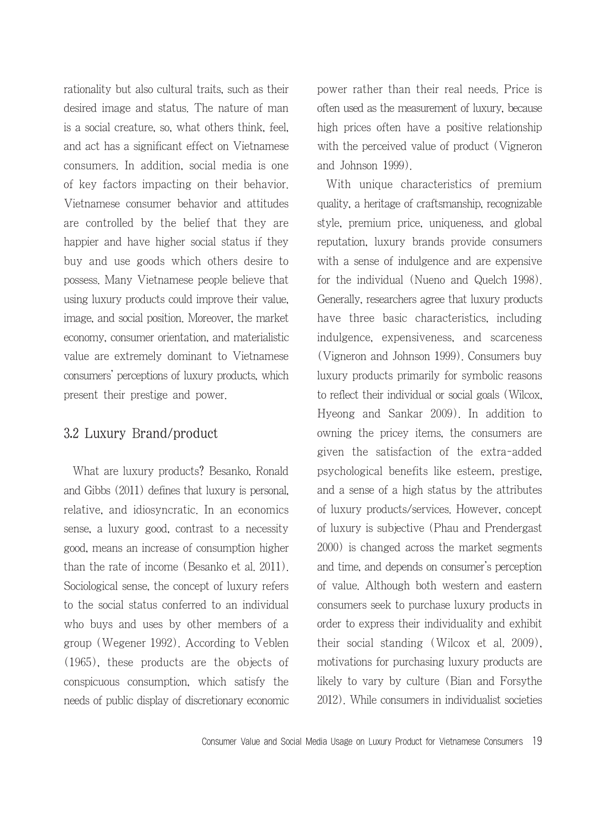rationality but also cultural traits, such as their desired image and status. The nature of man is a social creature, so, what others think, feel, and act has a significant effect on Vietnamese consumers. In addition, social media is one of key factors impacting on their behavior. Vietnamese consumer behavior and attitudes are controlled by the belief that they are happier and have higher social status if they buy and use goods which others desire to possess. Many Vietnamese people believe that using luxury products could improve their value, image, and social position. Moreover, the market economy, consumer orientation, and materialistic value are extremely dominant to Vietnamese consumers' perceptions of luxury products, which present their prestige and power.

#### 3.2 Luxury Brand/product

What are luxury products? Besanko, Ronald and Gibbs (2011) defines that luxury is personal, relative, and idiosyncratic. In an economics sense, a luxury good, contrast to a necessity good, means an increase of consumption higher than the rate of income (Besanko et al. 2011). Sociological sense, the concept of luxury refers to the social status conferred to an individual who buys and uses by other members of a group (Wegener 1992). According to Veblen (1965), these products are the objects of conspicuous consumption, which satisfy the needs of public display of discretionary economic power rather than their real needs. Price is often used as the measurement of luxury, because high prices often have a positive relationship with the perceived value of product (Vigneron and Johnson 1999).

With unique characteristics of premium quality, a heritage of craftsmanship, recognizable style, premium price, uniqueness, and global reputation, luxury brands provide consumers with a sense of indulgence and are expensive for the individual (Nueno and Quelch 1998). Generally, researchers agree that luxury products have three basic characteristics, including indulgence, expensiveness, and scarceness (Vigneron and Johnson 1999). Consumers buy luxury products primarily for symbolic reasons to reflect their individual or social goals (Wilcox, Hyeong and Sankar 2009). In addition to owning the pricey items, the consumers are given the satisfaction of the extra-added psychological benefits like esteem, prestige, and a sense of a high status by the attributes of luxury products/services. However, concept of luxury is subjective (Phau and Prendergast 2000) is changed across the market segments and time, and depends on consumer's perception of value. Although both western and eastern consumers seek to purchase luxury products in order to express their individuality and exhibit their social standing (Wilcox et al. 2009), motivations for purchasing luxury products are likely to vary by culture (Bian and Forsythe 2012). While consumers in individualist societies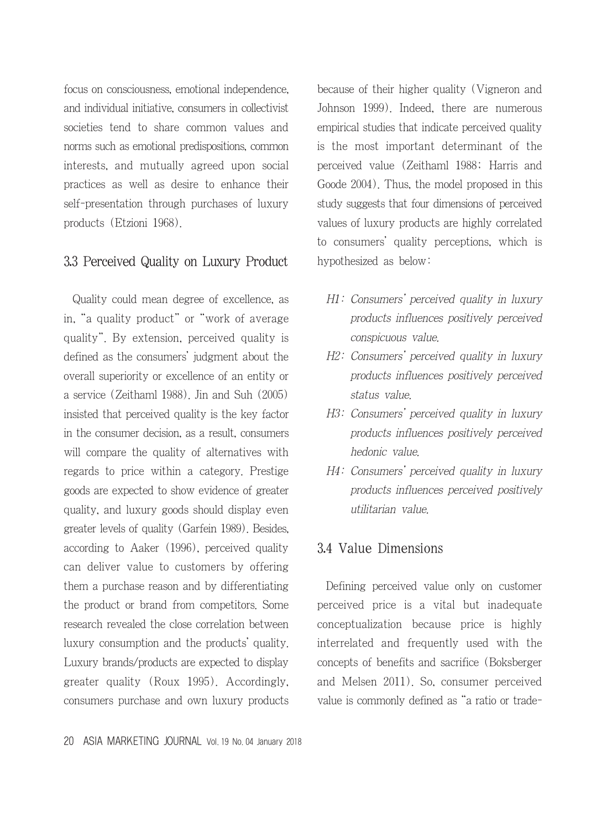focus on consciousness, emotional independence, and individual initiative, consumers in collectivist societies tend to share common values and norms such as emotional predispositions, common interests, and mutually agreed upon social practices as well as desire to enhance their self-presentation through purchases of luxury products (Etzioni 1968).

#### 3.3 Perceived Quality on Luxury Product

Quality could mean degree of excellence, as in, "a quality product" or "work of average quality". By extension, perceived quality is defined as the consumers' judgment about the overall superiority or excellence of an entity or a service (Zeithaml 1988). Jin and Suh (2005) insisted that perceived quality is the key factor in the consumer decision, as a result, consumers will compare the quality of alternatives with regards to price within a category. Prestige goods are expected to show evidence of greater quality, and luxury goods should display even greater levels of quality (Garfein 1989). Besides, according to Aaker (1996), perceived quality can deliver value to customers by offering them a purchase reason and by differentiating the product or brand from competitors. Some research revealed the close correlation between luxury consumption and the products' quality. Luxury brands/products are expected to display greater quality (Roux 1995). Accordingly, consumers purchase and own luxury products because of their higher quality (Vigneron and Johnson 1999). Indeed, there are numerous empirical studies that indicate perceived quality is the most important determinant of the perceived value (Zeithaml 1988; Harris and Goode 2004). Thus, the model proposed in this study suggests that four dimensions of perceived values of luxury products are highly correlated to consumers' quality perceptions, which is hypothesized as below:

- H1: Consumers' perceived quality in luxury products influences positively perceived conspicuous value.
- H2: Consumers' perceived quality in luxury products influences positively perceived status value.
- H3: Consumers' perceived quality in luxury products influences positively perceived hedonic value.
- H4: Consumers' perceived quality in luxury products influences perceived positively utilitarian value.

#### 3.4 Value Dimensions

Defining perceived value only on customer perceived price is a vital but inadequate conceptualization because price is highly interrelated and frequently used with the concepts of benefits and sacrifice (Boksberger and Melsen 2011). So, consumer perceived value is commonly defined as "a ratio or trade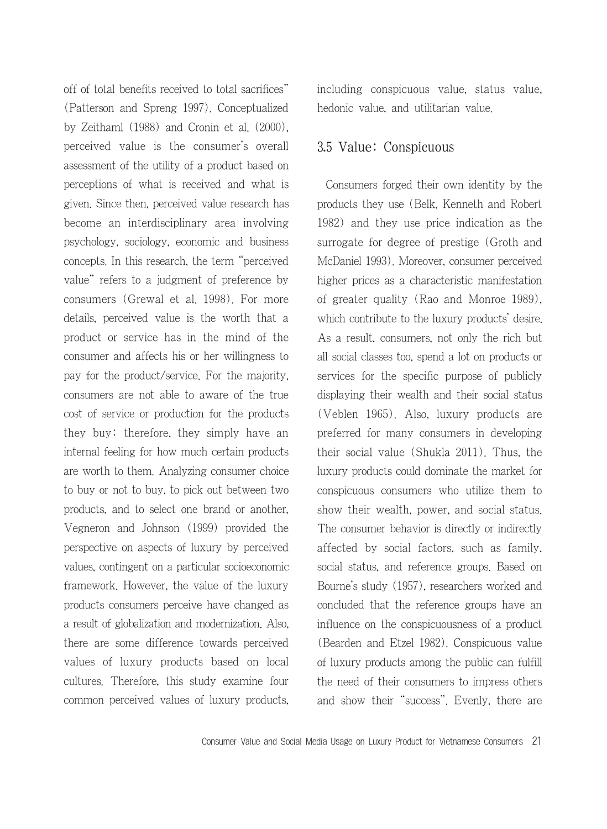off of total benefits received to total sacrifices" (Patterson and Spreng 1997). Conceptualized by Zeithaml (1988) and Cronin et al. (2000), perceived value is the consumer's overall assessment of the utility of a product based on perceptions of what is received and what is given. Since then, perceived value research has become an interdisciplinary area involving psychology, sociology, economic and business concepts. In this research, the term "perceived value" refers to a judgment of preference by consumers (Grewal et al. 1998). For more details, perceived value is the worth that a product or service has in the mind of the consumer and affects his or her willingness to pay for the product/service. For the majority, consumers are not able to aware of the true cost of service or production for the products they buy; therefore, they simply have an internal feeling for how much certain products are worth to them. Analyzing consumer choice to buy or not to buy, to pick out between two products, and to select one brand or another, Vegneron and Johnson (1999) provided the perspective on aspects of luxury by perceived values, contingent on a particular socioeconomic framework. However, the value of the luxury products consumers perceive have changed as a result of globalization and modernization. Also, there are some difference towards perceived values of luxury products based on local cultures. Therefore, this study examine four common perceived values of luxury products, including conspicuous value, status value, hedonic value, and utilitarian value.

#### 3.5 Value: Conspicuous

Consumers forged their own identity by the products they use (Belk, Kenneth and Robert 1982) and they use price indication as the surrogate for degree of prestige (Groth and McDaniel 1993). Moreover, consumer perceived higher prices as a characteristic manifestation of greater quality (Rao and Monroe 1989), which contribute to the luxury products' desire. As a result, consumers, not only the rich but all social classes too, spend a lot on products or services for the specific purpose of publicly displaying their wealth and their social status (Veblen 1965). Also, luxury products are preferred for many consumers in developing their social value (Shukla 2011). Thus, the luxury products could dominate the market for conspicuous consumers who utilize them to show their wealth, power, and social status. The consumer behavior is directly or indirectly affected by social factors, such as family, social status, and reference groups. Based on Bourne's study (1957), researchers worked and concluded that the reference groups have an influence on the conspicuousness of a product (Bearden and Etzel 1982). Conspicuous value of luxury products among the public can fulfill the need of their consumers to impress others and show their "success". Evenly, there are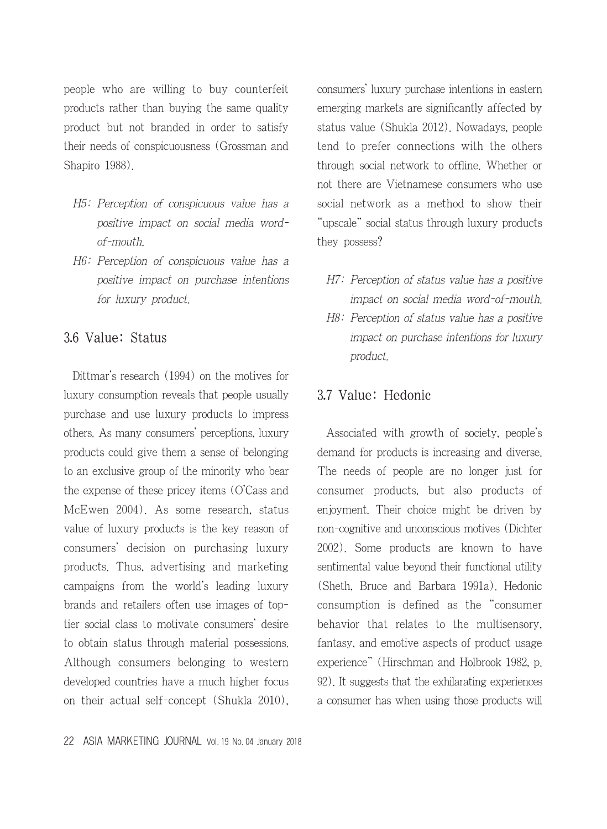people who are willing to buy counterfeit products rather than buying the same quality product but not branded in order to satisfy their needs of conspicuousness (Grossman and Shapiro 1988).

- H5: Perception of conspicuous value has a positive impact on social media wordof-mouth.
- H6: Perception of conspicuous value has a positive impact on purchase intentions for luxury product.

#### 3.6 Value: Status

Dittmar's research (1994) on the motives for luxury consumption reveals that people usually purchase and use luxury products to impress others. As many consumers' perceptions, luxury products could give them a sense of belonging to an exclusive group of the minority who bear the expense of these pricey items (O'Cass and McEwen 2004). As some research, status value of luxury products is the key reason of consumers' decision on purchasing luxury products. Thus, advertising and marketing campaigns from the world's leading luxury brands and retailers often use images of toptier social class to motivate consumers' desire to obtain status through material possessions. Although consumers belonging to western developed countries have a much higher focus on their actual self-concept (Shukla 2010),

22 ASIA MARKETING JOURNAL Vol. 19 No. 04 January 2018

consumers' luxury purchase intentions in eastern emerging markets are significantly affected by status value (Shukla 2012). Nowadays, people tend to prefer connections with the others through social network to offline. Whether or not there are Vietnamese consumers who use social network as a method to show their "upscale" social status through luxury products they possess?

- H7: Perception of status value has a positive impact on social media word-of-mouth.
- H8: Perception of status value has a positive impact on purchase intentions for luxury product.

#### 3.7 Value: Hedonic

Associated with growth of society, people's demand for products is increasing and diverse. The needs of people are no longer just for consumer products, but also products of enjoyment. Their choice might be driven by non-cognitive and unconscious motives (Dichter 2002). Some products are known to have sentimental value beyond their functional utility (Sheth, Bruce and Barbara 1991a). Hedonic consumption is defined as the "consumer behavior that relates to the multisensory, fantasy, and emotive aspects of product usage experience" (Hirschman and Holbrook 1982, p. 92). It suggests that the exhilarating experiences a consumer has when using those products will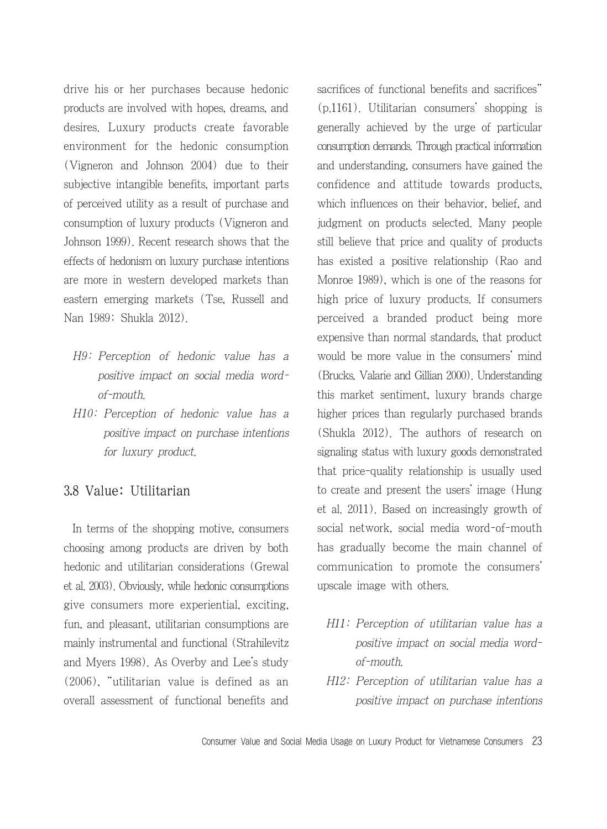drive his or her purchases because hedonic products are involved with hopes, dreams, and desires. Luxury products create favorable environment for the hedonic consumption (Vigneron and Johnson 2004) due to their subjective intangible benefits, important parts of perceived utility as a result of purchase and consumption of luxury products (Vigneron and Johnson 1999). Recent research shows that the effects of hedonism on luxury purchase intentions are more in western developed markets than eastern emerging markets (Tse, Russell and Nan 1989; Shukla 2012).

- H9: Perception of hedonic value has a positive impact on social media wordof-mouth.
- H10: Perception of hedonic value has a positive impact on purchase intentions for luxury product.

#### 3.8 Value: Utilitarian

In terms of the shopping motive, consumers choosing among products are driven by both hedonic and utilitarian considerations (Grewal et al. 2003). Obviously, while hedonic consumptions give consumers more experiential, exciting, fun, and pleasant, utilitarian consumptions are mainly instrumental and functional (Strahilevitz and Myers 1998). As Overby and Lee's study (2006), "utilitarian value is defined as an overall assessment of functional benefits and sacrifices of functional benefits and sacrifices" (p.1161). Utilitarian consumers' shopping is generally achieved by the urge of particular consumption demands. Through practical information and understanding, consumers have gained the confidence and attitude towards products, which influences on their behavior, belief, and judgment on products selected. Many people still believe that price and quality of products has existed a positive relationship (Rao and Monroe 1989), which is one of the reasons for high price of luxury products. If consumers perceived a branded product being more expensive than normal standards, that product would be more value in the consumers' mind (Brucks, Valarie and Gillian 2000). Understanding this market sentiment, luxury brands charge higher prices than regularly purchased brands (Shukla 2012). The authors of research on signaling status with luxury goods demonstrated that price-quality relationship is usually used to create and present the users' image (Hung et al. 2011). Based on increasingly growth of social network, social media word-of-mouth has gradually become the main channel of communication to promote the consumers' upscale image with others.

- H11: Perception of utilitarian value has a positive impact on social media wordof-mouth.
- H12: Perception of utilitarian value has a positive impact on purchase intentions

Consumer Value and Social Media Usage on Luxury Product for Vietnamese Consumers 23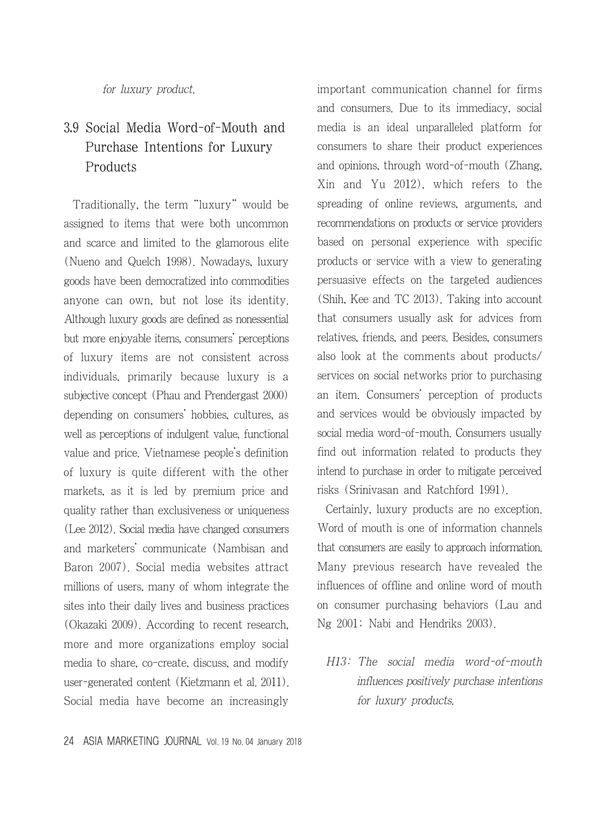for luxury product.

# 3.9 Social Media Word-of-Mouth and Purchase Intentions for Luxury Products

Traditionally, the term "luxury" would be assigned to items that were both uncommon and scarce and limited to the glamorous elite (Nueno and Quelch 1998). Nowadays, luxury goods have been democratized into commodities anyone can own, but not lose its identity. Although luxury goods are defined as nonessential but more enjoyable items, consumers' perceptions of luxury items are not consistent across individuals, primarily because luxury is a subjective concept (Phau and Prendergast 2000) depending on consumers' hobbies, cultures, as well as perceptions of indulgent value, functional value and price. Vietnamese people's definition of luxury is quite different with the other markets, as it is led by premium price and quality rather than exclusiveness or uniqueness (Lee 2012). Social media have changed consumers and marketers' communicate (Nambisan and Baron 2007). Social media websites attract millions of users, many of whom integrate the sites into their daily lives and business practices (Okazaki 2009). According to recent research, more and more organizations employ social media to share, co-create, discuss, and modify user-generated content (Kietzmann et al. 2011). Social media have become an increasingly

important communication channel for firms and consumers. Due to its immediacy, social media is an ideal unparalleled platform for consumers to share their product experiences and opinions, through word-of-mouth (Zhang, Xin and Yu 2012), which refers to the spreading of online reviews, arguments, and recommendations on products or service providers based on personal experience with specific products or service with a view to generating persuasive effects on the targeted audiences (Shih, Kee and TC 2013). Taking into account that consumers usually ask for advices from relatives, friends, and peers. Besides, consumers also look at the comments about products/ services on social networks prior to purchasing an item. Consumers' perception of products and services would be obviously impacted by social media word-of-mouth. Consumers usually find out information related to products they intend to purchase in order to mitigate perceived risks (Srinivasan and Ratchford 1991).

Certainly, luxury products are no exception. Word of mouth is one of information channels that consumers are easily to approach information. Many previous research have revealed the influences of offline and online word of mouth on consumer purchasing behaviors (Lau and Ng 2001; Nabi and Hendriks 2003).

H13: The social media word-of-mouth influences positively purchase intentions for luxury products.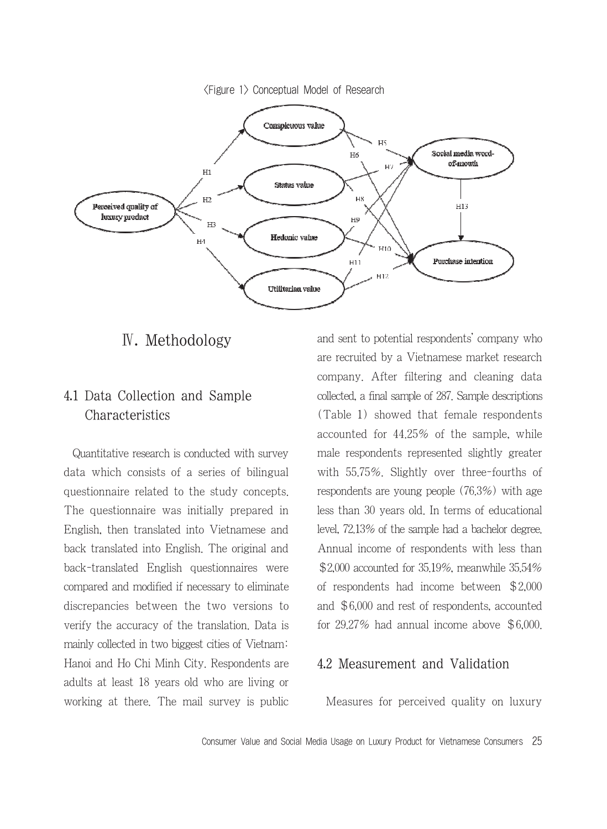<Figure 1> Conceptual Model of Research



### Ⅳ. Methodology

## 4.1 Data Collection and Sample Characteristics

Quantitative research is conducted with survey data which consists of a series of bilingual questionnaire related to the study concepts. The questionnaire was initially prepared in English, then translated into Vietnamese and back translated into English. The original and back-translated English questionnaires were compared and modified if necessary to eliminate discrepancies between the two versions to verify the accuracy of the translation. Data is mainly collected in two biggest cities of Vietnam: Hanoi and Ho Chi Minh City. Respondents are adults at least 18 years old who are living or working at there. The mail survey is public and sent to potential respondents' company who are recruited by a Vietnamese market research company. After filtering and cleaning data collected, a final sample of 287. Sample descriptions (Table 1) showed that female respondents accounted for 44.25% of the sample, while male respondents represented slightly greater with 55.75%. Slightly over three-fourths of respondents are young people (76.3%) with age less than 30 years old. In terms of educational level, 72.13% of the sample had a bachelor degree. Annual income of respondents with less than \$2,000 accounted for 35.19%, meanwhile 35.54% of respondents had income between \$2,000 and \$6,000 and rest of respondents, accounted for 29.27% had annual income above \$6,000.

#### 4.2 Measurement and Validation

Measures for perceived quality on luxury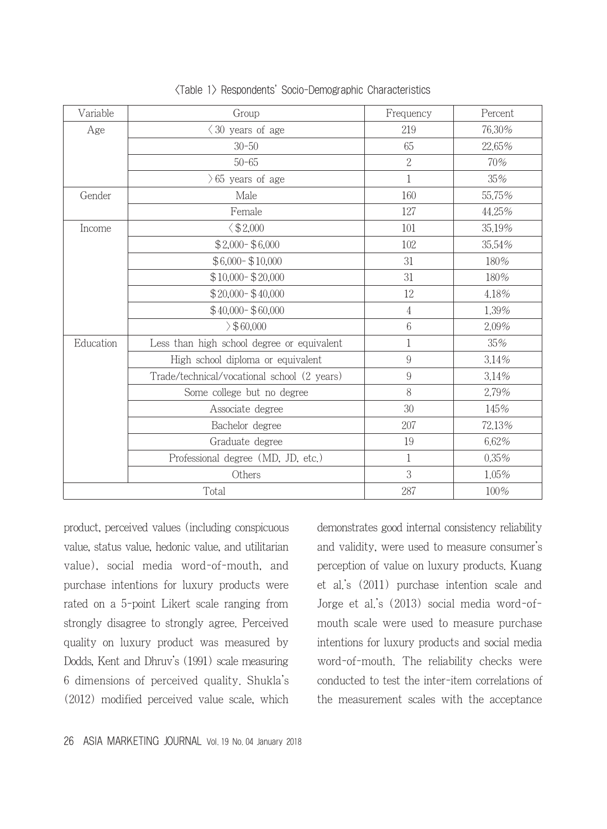| Variable  | Group                                       | Frequency        | Percent |
|-----------|---------------------------------------------|------------------|---------|
| Age       | $\langle 30 \rangle$ years of age           | 219              | 76,30%  |
|           | $30 - 50$                                   | 65               | 22,65%  |
|           | $50 - 65$                                   | $\overline{2}$   | 70%     |
|           | $65$ years of age                           | 1                | 35%     |
| Gender    | Male                                        | 160              | 55.75%  |
|           | Female                                      | 127              | 44.25%  |
| Income    | $\xi$ \$2,000                               | 101              | 35.19%  |
|           | $$2,000 - $6,000$                           | 102              | 35,54%  |
|           | $$6,000 - $10,000$                          | 31               | 180%    |
|           | $$10,000 - $20,000$                         | 31               | 180%    |
|           | $$20,000 - $40,000$                         | 12               | 4.18%   |
|           | $$40,000 - $60,000$                         | $\overline{4}$   | 1.39%   |
|           | $\geq$ \$60,000                             | 6                | 2.09%   |
| Education | Less than high school degree or equivalent  | 1                | 35%     |
|           | High school diploma or equivalent           | $\overline{9}$   | 3.14%   |
|           | Trade/technical/vocational school (2 years) | $\boldsymbol{9}$ | 3.14%   |
|           | Some college but no degree                  | 8                | 2.79%   |
|           | Associate degree                            | 30               | 145%    |
|           | Bachelor degree                             | 207              | 72,13%  |
|           | Graduate degree                             | 19               | 6.62%   |
|           | Professional degree (MD, JD, etc.)          | 1                | 0.35%   |
|           | Others                                      | 3                | 1.05%   |
|           | Total                                       | 287              | 100%    |

<Table 1> Respondents' Socio-Demographic Characteristics

product, perceived values (including conspicuous value, status value, hedonic value, and utilitarian value), social media word-of-mouth, and purchase intentions for luxury products were rated on a 5-point Likert scale ranging from strongly disagree to strongly agree. Perceived quality on luxury product was measured by Dodds, Kent and Dhruv's (1991) scale measuring 6 dimensions of perceived quality. Shukla's (2012) modified perceived value scale, which demonstrates good internal consistency reliability and validity, were used to measure consumer's perception of value on luxury products. Kuang et al.'s (2011) purchase intention scale and Jorge et al.'s (2013) social media word-ofmouth scale were used to measure purchase intentions for luxury products and social media word-of-mouth. The reliability checks were conducted to test the inter-item correlations of the measurement scales with the acceptance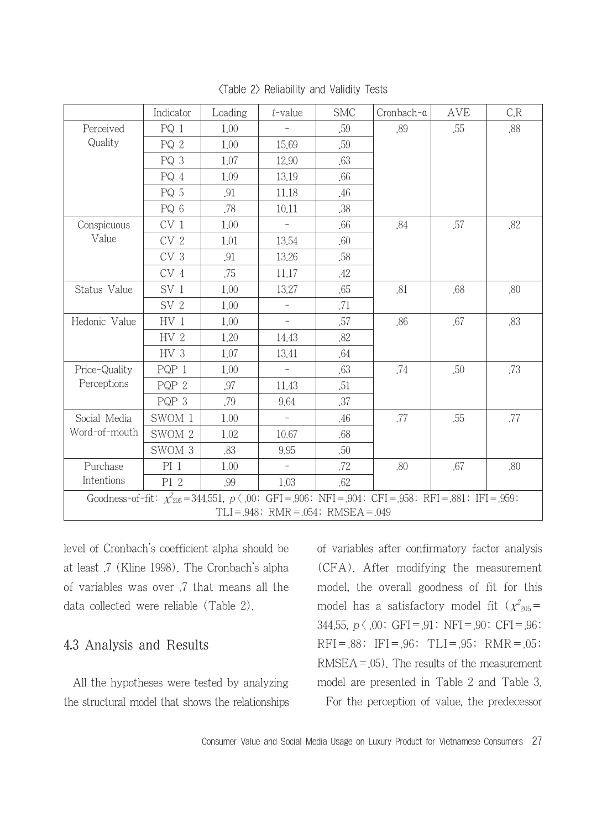|                                                                                                                 | Indicator       | Loading | $t$ -value               | <b>SMC</b> | Cronbach-a | AVE | C.R |
|-----------------------------------------------------------------------------------------------------------------|-----------------|---------|--------------------------|------------|------------|-----|-----|
| Perceived                                                                                                       | $PQ_1$          | 1.00    |                          | .59        | .89        | .55 | .88 |
| Quality                                                                                                         | PQ <sub>2</sub> | 1.00    | 15.69                    | .59        |            |     |     |
|                                                                                                                 | PQ 3            | 1.07    | 12.90                    | .63        |            |     |     |
|                                                                                                                 | PQ 4            | 1.09    | 13.19                    | .66        |            |     |     |
|                                                                                                                 | PQ 5            | .91     | 11.18                    | .46        |            |     |     |
|                                                                                                                 | PQ 6            | .78     | 10.11                    | .38        |            |     |     |
| Conspicuous                                                                                                     | CV <sub>1</sub> | 1.00    |                          | .66        | .84        | .57 | .82 |
| Value                                                                                                           | CV <sub>2</sub> | 1.01    | 13.54                    | .60        |            |     |     |
|                                                                                                                 | CV <sub>3</sub> | .91     | 13.26                    | .58        |            |     |     |
|                                                                                                                 | CV 4            | .75     | 11.17                    | .42        |            |     |     |
| Status Value                                                                                                    | SV <sub>1</sub> | 1.00    | 13.27                    | .65        | .81        | .68 | .80 |
|                                                                                                                 | SV <sub>2</sub> | 1.00    | $\overline{\phantom{a}}$ | .71        |            |     |     |
| Hedonic Value                                                                                                   | HV <sub>1</sub> | 1.00    | $\qquad \qquad -$        | .57        | .86        | .67 | .83 |
|                                                                                                                 | HV <sub>2</sub> | 1.20    | 14.43                    | .82        |            |     |     |
|                                                                                                                 | HV 3            | 1.07    | 13.41                    | .64        |            |     |     |
| Price-Quality                                                                                                   | PQP 1           | 1.00    |                          | .63        | .74        | .50 | .73 |
| Perceptions                                                                                                     | PQP 2           | .97     | 11.43                    | .51        |            |     |     |
|                                                                                                                 | PQP 3           | .79     | 9.64                     | .37        |            |     |     |
| Social Media<br>Word-of-mouth                                                                                   | SWOM 1          | 1.00    | $\equiv$                 | .46        | .77        | .55 | .77 |
|                                                                                                                 | SWOM 2          | 1.02    | 10.67                    | .68        |            |     |     |
|                                                                                                                 | SWOM 3          | .83     | 9.95                     | .50        |            |     |     |
| Purchase                                                                                                        | $PI_1$          | 1.00    |                          | .72        | .80        | .67 | .80 |
| Intentions                                                                                                      | P1 2            | .99     | 1.03                     | .62        |            |     |     |
| Goodness-of-fit: $\chi^2_{205} = 344.551$ , $p \langle .00$ : GFI=.906; NFI=.904; CFI=.958; RFI=.881; IFI=.959; |                 |         |                          |            |            |     |     |
| $TLI = 948$ ; RMR = $054$ ; RMSEA = $049$                                                                       |                 |         |                          |            |            |     |     |

<Table 2> Reliability and Validity Tests

level of Cronbach's coefficient alpha should be at least .7 (Kline 1998). The Cronbach's alpha of variables was over .7 that means all the data collected were reliable (Table 2).

#### 4.3 Analysis and Results

All the hypotheses were tested by analyzing the structural model that shows the relationships of variables after confirmatory factor analysis (CFA). After modifying the measurement model, the overall goodness of fit for this model has a satisfactory model fit ( $\chi^2{}_{205}=0$ 344.55,  $p \langle .00;$  GFI=.91; NFI=.90; CFI=.96;  $RFI = .88$ ;  $IFI = .96$ ;  $TLI = .95$ ;  $RMR = .05$ ;  $RMSEA = .05$ ). The results of the measurement model are presented in Table 2 and Table 3. For the perception of value, the predecessor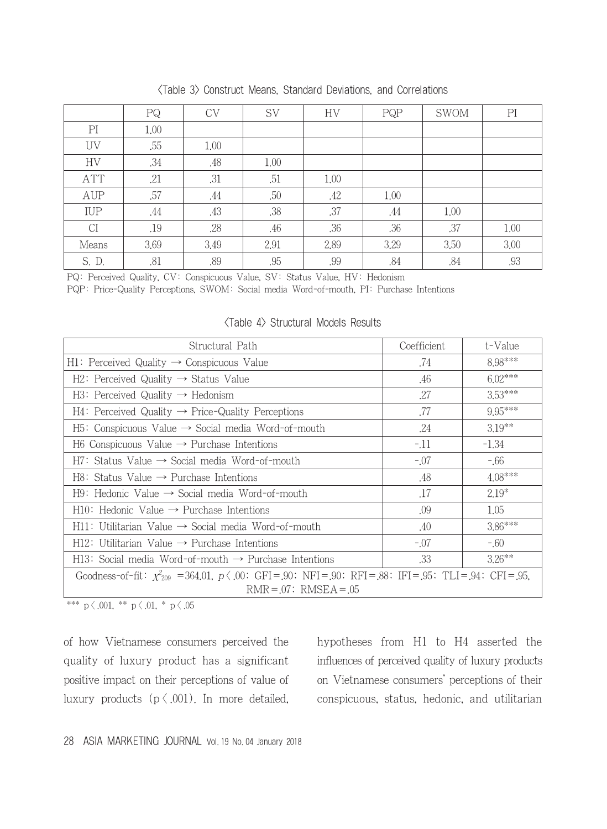|            | PQ   | <b>CV</b> | <b>SV</b> | <b>HV</b> | PQP  | <b>SWOM</b> | PI   |
|------------|------|-----------|-----------|-----------|------|-------------|------|
| PI         | 1.00 |           |           |           |      |             |      |
| UV         | .55  | 1.00      |           |           |      |             |      |
| HV         | .34  | .48       | 1.00      |           |      |             |      |
| <b>ATT</b> | .21  | .31       | .51       | 1.00      |      |             |      |
| AUP        | .57  | .44       | .50       | .42       | 1.00 |             |      |
| IUP        | .44  | .43       | .38       | .37       | .44  | 1.00        |      |
| CI         | .19  | .28       | .46       | .36       | .36  | .37         | 1.00 |
| Means      | 3.69 | 3.49      | 2.91      | 2.89      | 3.29 | 3.50        | 3.00 |
| S. D.      | .81  | .89       | .95       | .99       | .84  | .84         | .93  |

<Table 3> Construct Means, Standard Deviations, and Correlations

PQ: Perceived Quality, CV: Conspicuous Value, SV: Status Value, HV: Hedonism

PQP: Price-Quality Perceptions, SWOM: Social media Word-of-mouth, PI: Purchase Intentions

| Structural Path                                                                                                   | Coefficient | t-Value   |  |  |
|-------------------------------------------------------------------------------------------------------------------|-------------|-----------|--|--|
| $H1:$ Perceived Quality $\rightarrow$ Conspicuous Value                                                           | .74         | 8.98***   |  |  |
| $H2$ : Perceived Quality $\rightarrow$ Status Value                                                               | .46         | $6.02***$ |  |  |
| $H3:$ Perceived Quality $\rightarrow$ Hedonism                                                                    | .27         | 3.53***   |  |  |
| $H4$ : Perceived Quality $\rightarrow$ Price-Quality Perceptions                                                  | .77         | $9.95***$ |  |  |
| $H5$ : Conspicuous Value $\rightarrow$ Social media Word-of-mouth                                                 | .24         | $3.19**$  |  |  |
| $H6$ Conspicuous Value $\rightarrow$ Purchase Intentions                                                          | $-11$       | $-1.34$   |  |  |
| $H7:$ Status Value $\rightarrow$ Social media Word-of-mouth                                                       | $-.07$      | $-66$     |  |  |
| $H8:$ Status Value $\rightarrow$ Purchase Intentions                                                              | .48         | $4.08***$ |  |  |
| $H9:$ Hedonic Value $\rightarrow$ Social media Word-of-mouth                                                      | .17         | $2.19*$   |  |  |
| $H10$ : Hedonic Value $\rightarrow$ Purchase Intentions                                                           | .09         | 1.05      |  |  |
| $H11: Utiltarian Value \rightarrow Social media Word-of-mouth$                                                    | .40         | $3.86***$ |  |  |
| $H12$ : Utilitarian Value $\rightarrow$ Purchase Intentions                                                       | $-.07$      | $-0.60$   |  |  |
| $H13:$ Social media Word-of-mouth $\rightarrow$ Purchase Intentions                                               | .33         | $3.26***$ |  |  |
| Goodness-of-fit: $\chi^2_{209}$ = 364.01, $p \langle .00$ ; GFI= 90; NFI= 90; RFI= 88; IFI= 95; TLI= 94; CFI= 95, |             |           |  |  |
| $RMR = 07$ ; $RMSEA = 05$                                                                                         |             |           |  |  |

<Table 4> Structural Models Results

\*\*\* p  $\langle .001, *p \, \langle .01, *p \, \langle .05 \rangle \rangle$ 

of how Vietnamese consumers perceived the quality of luxury product has a significant positive impact on their perceptions of value of luxury products  $(p \nless 0.001)$ . In more detailed, hypotheses from H1 to H4 asserted the influences of perceived quality of luxury products on Vietnamese consumers' perceptions of their conspicuous, status, hedonic, and utilitarian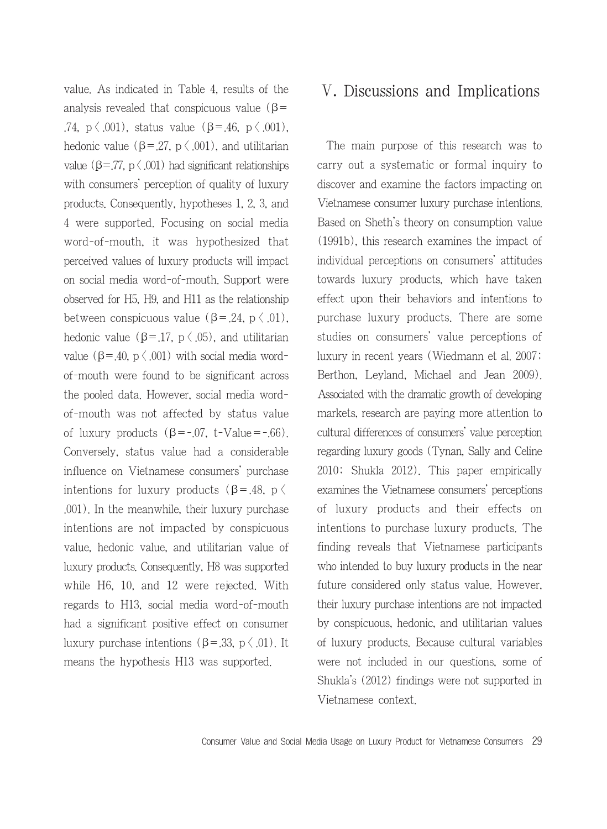value. As indicated in Table 4, results of the analysis revealed that conspicuous value ( $\beta$ = .74,  $p \le 0.001$ ), status value (β=.46,  $p \le 0.001$ ). hedonic value ( $\beta = 27$ ,  $p \langle .001 \rangle$ , and utilitarian value ( $\beta = 77$ ,  $p \leq 0.001$ ) had significant relationships with consumers' perception of quality of luxury products. Consequently, hypotheses 1, 2, 3, and 4 were supported. Focusing on social media word-of-mouth, it was hypothesized that perceived values of luxury products will impact on social media word-of-mouth. Support were observed for H5, H9, and H11 as the relationship between conspicuous value ( $\beta$ =.24, p  $\langle .01 \rangle$ , hedonic value ( $\beta = 17$ ,  $p \langle .05 \rangle$ , and utilitarian value ( $\beta$ =.40,  $p \langle .001 \rangle$  with social media wordof-mouth were found to be significant across the pooled data. However, social media wordof-mouth was not affected by status value of luxury products  $(\beta = -0.07, t-Va)$ lue= $-.66$ ). Conversely, status value had a considerable influence on Vietnamese consumers' purchase intentions for luxury products ( $\beta = .48$ , p  $\langle$ .001). In the meanwhile, their luxury purchase intentions are not impacted by conspicuous value, hedonic value, and utilitarian value of luxury products. Consequently, H8 was supported while H6, 10, and 12 were rejected. With regards to H13, social media word-of-mouth had a significant positive effect on consumer luxury purchase intentions ( $β = .33$ ,  $p \langle .01 \rangle$ . It means the hypothesis H13 was supported.

# Ⅴ. Discussions and Implications

The main purpose of this research was to carry out a systematic or formal inquiry to discover and examine the factors impacting on Vietnamese consumer luxury purchase intentions. Based on Sheth's theory on consumption value (1991b), this research examines the impact of individual perceptions on consumers' attitudes towards luxury products, which have taken effect upon their behaviors and intentions to purchase luxury products. There are some studies on consumers' value perceptions of luxury in recent years (Wiedmann et al. 2007; Berthon, Leyland, Michael and Jean 2009). Associated with the dramatic growth of developing markets, research are paying more attention to cultural differences of consumers' value perception regarding luxury goods (Tynan, Sally and Celine 2010; Shukla 2012). This paper empirically examines the Vietnamese consumers' perceptions of luxury products and their effects on intentions to purchase luxury products. The finding reveals that Vietnamese participants who intended to buy luxury products in the near future considered only status value. However, their luxury purchase intentions are not impacted by conspicuous, hedonic, and utilitarian values of luxury products. Because cultural variables were not included in our questions, some of Shukla's (2012) findings were not supported in Vietnamese context.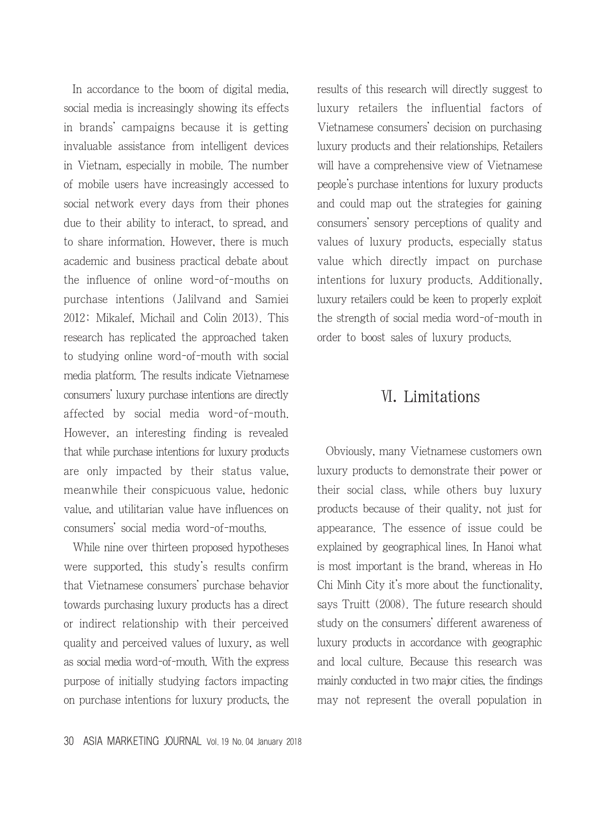In accordance to the boom of digital media, social media is increasingly showing its effects in brands' campaigns because it is getting invaluable assistance from intelligent devices in Vietnam, especially in mobile. The number of mobile users have increasingly accessed to social network every days from their phones due to their ability to interact, to spread, and to share information. However, there is much academic and business practical debate about the influence of online word-of-mouths on purchase intentions (Jalilvand and Samiei 2012; Mikalef, Michail and Colin 2013). This research has replicated the approached taken to studying online word-of-mouth with social media platform. The results indicate Vietnamese consumers' luxury purchase intentions are directly affected by social media word-of-mouth. However, an interesting finding is revealed that while purchase intentions for luxury products are only impacted by their status value, meanwhile their conspicuous value, hedonic value, and utilitarian value have influences on consumers' social media word-of-mouths.

While nine over thirteen proposed hypotheses were supported, this study's results confirm that Vietnamese consumers' purchase behavior towards purchasing luxury products has a direct or indirect relationship with their perceived quality and perceived values of luxury, as well as social media word-of-mouth. With the express purpose of initially studying factors impacting on purchase intentions for luxury products, the results of this research will directly suggest to luxury retailers the influential factors of Vietnamese consumers' decision on purchasing luxury products and their relationships. Retailers will have a comprehensive view of Vietnamese people's purchase intentions for luxury products and could map out the strategies for gaining consumers' sensory perceptions of quality and values of luxury products, especially status value which directly impact on purchase intentions for luxury products. Additionally, luxury retailers could be keen to properly exploit the strength of social media word-of-mouth in order to boost sales of luxury products.

### Ⅵ. Limitations

Obviously, many Vietnamese customers own luxury products to demonstrate their power or their social class, while others buy luxury products because of their quality, not just for appearance. The essence of issue could be explained by geographical lines. In Hanoi what is most important is the brand, whereas in Ho Chi Minh City it's more about the functionality, says Truitt (2008). The future research should study on the consumers' different awareness of luxury products in accordance with geographic and local culture. Because this research was mainly conducted in two major cities, the findings may not represent the overall population in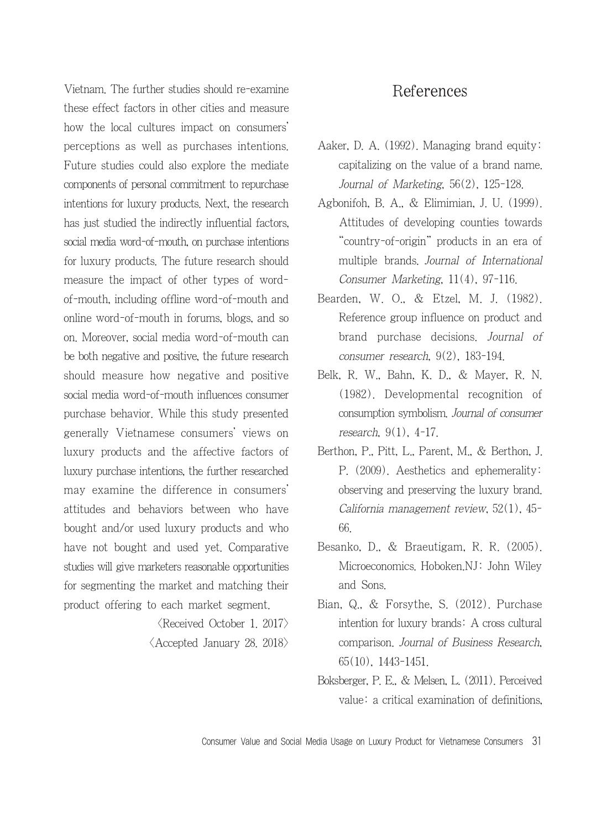Vietnam. The further studies should re-examine these effect factors in other cities and measure how the local cultures impact on consumers' perceptions as well as purchases intentions. Future studies could also explore the mediate components of personal commitment to repurchase intentions for luxury products. Next, the research has just studied the indirectly influential factors, social media word-of-mouth, on purchase intentions for luxury products. The future research should measure the impact of other types of wordof-mouth, including offline word-of-mouth and online word-of-mouth in forums, blogs, and so on. Moreover, social media word-of-mouth can be both negative and positive, the future research should measure how negative and positive social media word-of-mouth influences consumer purchase behavior. While this study presented generally Vietnamese consumers' views on luxury products and the affective factors of luxury purchase intentions, the further researched may examine the difference in consumers' attitudes and behaviors between who have bought and/or used luxury products and who have not bought and used yet. Comparative studies will give marketers reasonable opportunities for segmenting the market and matching their product offering to each market segment.

> $\langle$ Received October 1. 2017 $\rangle$ <Accepted January 28. 2018>

### References

- Aaker, D. A. (1992). Managing brand equity: capitalizing on the value of a brand name. Journal of Marketing, 56(2), 125-128.
- Agbonifoh, B. A., & Elimimian, J. U. (1999). Attitudes of developing counties towards "country-of-origin" products in an era of multiple brands. Journal of International Consumer Marketing, 11(4), 97-116.
- Bearden, W. O., & Etzel, M. J. (1982). Reference group influence on product and brand purchase decisions. Journal of consumer research, 9(2), 183-194.
- Belk, R. W., Bahn, K. D., & Mayer, R. N. (1982). Developmental recognition of consumption symbolism. Journal of consumer research, 9(1), 4-17.
- Berthon, P., Pitt, L., Parent, M., & Berthon, J. P. (2009). Aesthetics and ephemerality: observing and preserving the luxury brand. California management review, 52(1), 45- 66.
- Besanko, D., & Braeutigam, R. R. (2005). Microeconomics. Hoboken.NJ: John Wiley and Sons.
- Bian, Q., & Forsythe, S. (2012). Purchase intention for luxury brands: A cross cultural comparison. Journal of Business Research, 65(10), 1443-1451.
- Boksberger, P. E., & Melsen, L. (2011). Perceived value: a critical examination of definitions,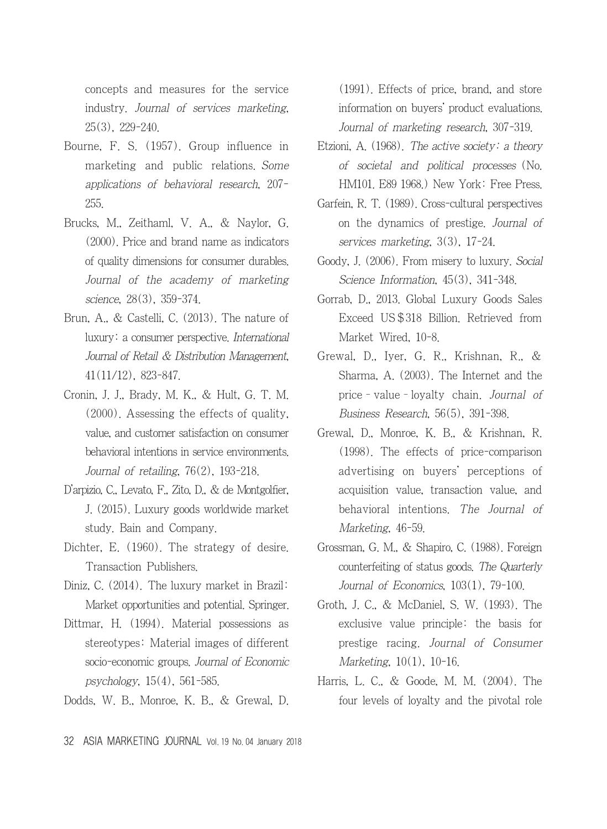concepts and measures for the service industry. Journal of services marketing, 25(3), 229-240.

- Bourne, F. S. (1957). Group influence in marketing and public relations. Some applications of behavioral research, 207- 255.
- Brucks, M., Zeithaml, V. A., & Naylor, G. (2000). Price and brand name as indicators of quality dimensions for consumer durables. Journal of the academy of marketing science, 28(3), 359-374.
- Brun, A., & Castelli, C. (2013). The nature of luxury: a consumer perspective. International Journal of Retail & Distribution Management, 41(11/12), 823-847.
- Cronin, J. J., Brady, M. K., & Hult, G. T. M. (2000). Assessing the effects of quality, value, and customer satisfaction on consumer behavioral intentions in service environments. Journal of retailing, 76(2), 193-218.
- D'arpizio, C., Levato, F., Zito, D., & de Montgolfier, J. (2015). Luxury goods worldwide market study. Bain and Company.
- Dichter, E. (1960). The strategy of desire. Transaction Publishers.
- Diniz, C. (2014). The luxury market in Brazil: Market opportunities and potential. Springer.
- Dittmar, H. (1994). Material possessions as stereotypes: Material images of different socio-economic groups. Journal of Economic psychology, 15(4), 561-585.
- Dodds, W. B., Monroe, K. B., & Grewal, D.

(1991). Effects of price, brand, and store information on buyers' product evaluations. Journal of marketing research, 307-319.

- Etzioni, A.  $(1968)$ . The active society: a theory of societal and political processes (No. HM101. E89 1968.) New York: Free Press.
- Garfein, R. T. (1989). Cross-cultural perspectives on the dynamics of prestige. Journal of services marketing, 3(3), 17-24.
- Goody, J. (2006). From misery to luxury. Social Science Information, 45(3), 341-348.
- Gorrab, D., 2013. Global Luxury Goods Sales Exceed US\$318 Billion. Retrieved from Market Wired, 10-8.
- Grewal, D., Iyer, G. R., Krishnan, R., & Sharma, A. (2003). The Internet and the price–value–loyalty chain. Journal of Business Research, 56(5), 391-398.
- Grewal, D., Monroe, K. B., & Krishnan, R. (1998). The effects of price-comparison advertising on buyers' perceptions of acquisition value, transaction value, and behavioral intentions. The Journal of Marketing, 46-59.
- Grossman, G. M., & Shapiro, C. (1988). Foreign counterfeiting of status goods. The Quarterly Journal of Economics, 103(1), 79-100.
- Groth, J. C., & McDaniel, S. W. (1993). The exclusive value principle: the basis for prestige racing. Journal of Consumer Marketing, 10(1), 10-16.
- Harris, L. C., & Goode, M. M. (2004). The four levels of loyalty and the pivotal role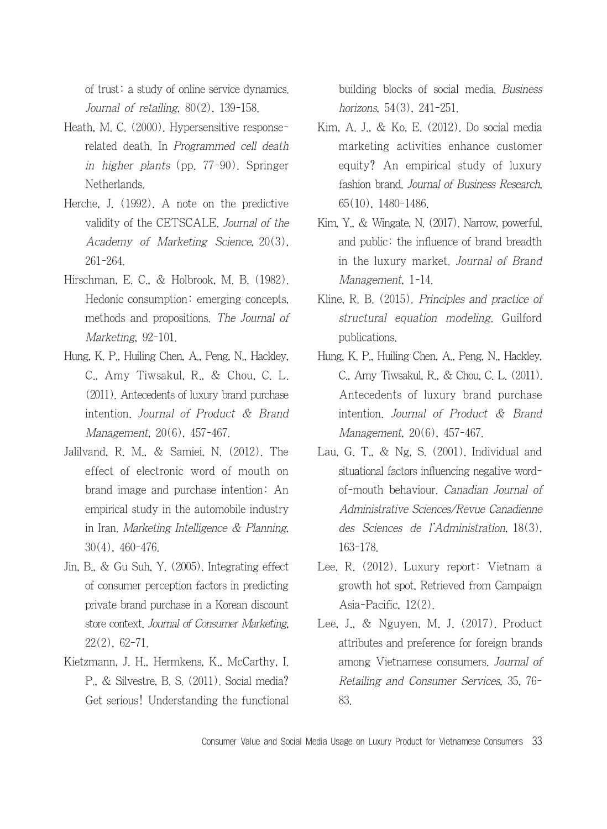of trust: a study of online service dynamics. Journal of retailing,  $80(2)$ , 139-158.

- Heath, M. C. (2000). Hypersensitive responserelated death. In Programmed cell death in higher plants (pp. 77-90). Springer Netherlands.
- Herche, J. (1992). A note on the predictive validity of the CETSCALE. Journal of the Academy of Marketing Science, 20(3), 261-264.
- Hirschman, E. C., & Holbrook, M. B. (1982). Hedonic consumption: emerging concepts, methods and propositions. The Journal of Marketing, 92-101.
- Hung, K. P., Huiling Chen, A., Peng, N., Hackley, C., Amy Tiwsakul, R., & Chou, C. L. (2011). Antecedents of luxury brand purchase intention. Journal of Product & Brand Management, 20(6), 457-467.
- Jalilvand, R. M., & Samiei, N. (2012). The effect of electronic word of mouth on brand image and purchase intention: An empirical study in the automobile industry in Iran. Marketing Intelligence & Planning, 30(4), 460-476.
- Jin, B., & Gu Suh, Y. (2005). Integrating effect of consumer perception factors in predicting private brand purchase in a Korean discount store context. Journal of Consumer Marketing, 22(2), 62-71.
- Kietzmann, J. H., Hermkens, K., McCarthy, I. P., & Silvestre, B. S. (2011). Social media? Get serious! Understanding the functional

building blocks of social media. Business horizons, 54(3), 241-251.

- Kim, A. J., & Ko, E. (2012). Do social media marketing activities enhance customer equity? An empirical study of luxury fashion brand. Journal of Business Research, 65(10), 1480-1486.
- Kim, Y., & Wingate, N. (2017). Narrow, powerful, and public: the influence of brand breadth in the luxury market. Journal of Brand Management, 1-14.
- Kline, R. B. (2015). Principles and practice of structural equation modeling. Guilford publications.
- Hung, K. P., Huiling Chen, A., Peng, N., Hackley, C., Amy Tiwsakul, R., & Chou, C. L. (2011). Antecedents of luxury brand purchase intention. Journal of Product & Brand Management, 20(6), 457-467.
- Lau, G. T.,  $\&$  Ng, S.  $(2001)$ . Individual and situational factors influencing negative wordof-mouth behaviour. Canadian Journal of Administrative Sciences/Revue Canadienne des Sciences de l'Administration, 18(3), 163-178.
- Lee, R. (2012). Luxury report: Vietnam a growth hot spot, Retrieved from Campaign Asia-Pacific, 12(2).
- Lee, J., & Nguyen, M. J. (2017). Product attributes and preference for foreign brands among Vietnamese consumers. Journal of Retailing and Consumer Services, 35, 76- 83.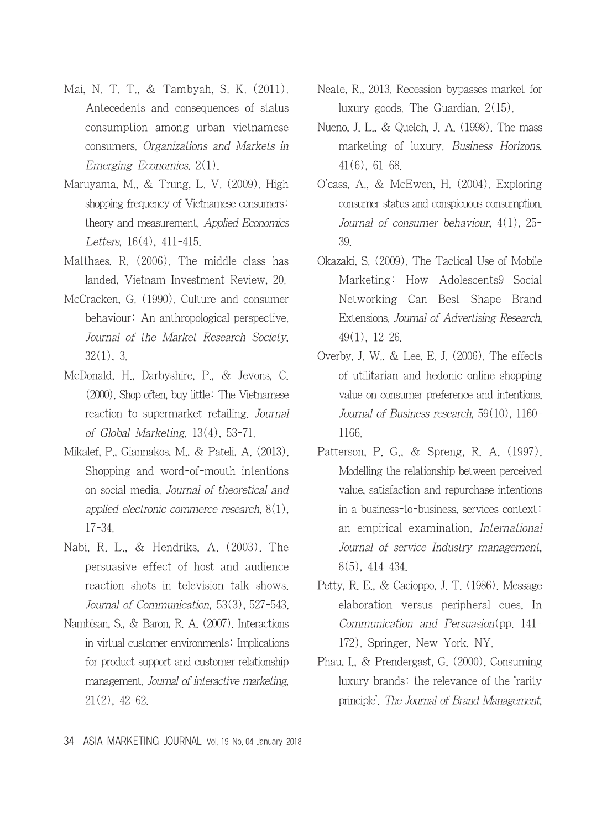- Mai, N. T. T., & Tambyah, S. K. (2011). Antecedents and consequences of status consumption among urban vietnamese consumers. Organizations and Markets in Emerging Economies, 2(1).
- Maruyama, M., & Trung, L. V. (2009). High shopping frequency of Vietnamese consumers: theory and measurement. Applied Economics Letters, 16(4), 411-415.
- Matthaes, R. (2006). The middle class has landed, Vietnam Investment Review, 20.
- McCracken, G. (1990). Culture and consumer behaviour: An anthropological perspective. Journal of the Market Research Society, 32(1), 3.
- McDonald, H., Darbyshire, P., & Jevons, C. (2000). Shop often, buy little: The Vietnamese reaction to supermarket retailing. Journal of Global Marketing, 13(4), 53-71.
- Mikalef, P., Giannakos, M., & Pateli, A. (2013). Shopping and word-of-mouth intentions on social media. Journal of theoretical and applied electronic commerce research, 8(1), 17-34.
- Nabi, R. L., & Hendriks, A. (2003). The persuasive effect of host and audience reaction shots in television talk shows. Journal of Communication, 53(3), 527-543.
- Nambisan, S., & Baron, R. A. (2007). Interactions in virtual customer environments: Implications for product support and customer relationship management. Journal of interactive marketing, 21(2), 42-62.
- Neate, R., 2013. Recession bypasses market for luxury goods. The Guardian, 2(15).
- Nueno, J. L., & Quelch, J. A. (1998). The mass marketing of luxury. Business Horizons, 41(6), 61-68.
- O'cass, A., & McEwen, H. (2004). Exploring consumer status and conspicuous consumption. Journal of consumer behaviour, 4(1), 25- 39.
- Okazaki, S. (2009). The Tactical Use of Mobile Marketing: How Adolescents9 Social Networking Can Best Shape Brand Extensions. Journal of Advertising Research, 49(1), 12-26.
- Overby, J. W., & Lee, E. J. (2006). The effects of utilitarian and hedonic online shopping value on consumer preference and intentions. Journal of Business research, 59(10), 1160- 1166.
- Patterson, P. G., & Spreng, R. A. (1997). Modelling the relationship between perceived value, satisfaction and repurchase intentions in a business-to-business, services context: an empirical examination. International Journal of service Industry management, 8(5), 414-434.
- Petty, R. E., & Cacioppo, J. T. (1986). Message elaboration versus peripheral cues. In Communication and Persuasion(pp. 141- 172). Springer, New York, NY.
- Phau, I., & Prendergast, G. (2000). Consuming luxury brands: the relevance of the 'rarity principle'. The Journal of Brand Management,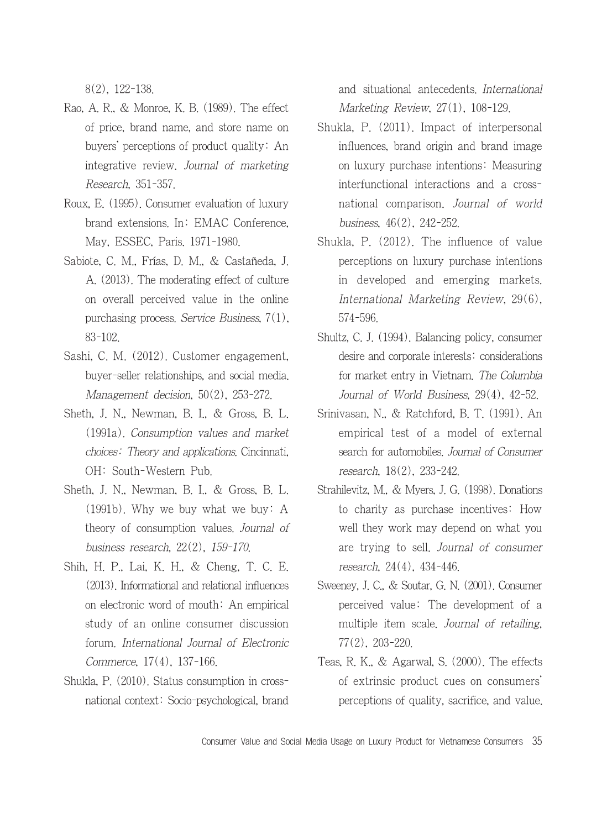8(2), 122-138.

- Rao, A. R., & Monroe, K. B. (1989). The effect of price, brand name, and store name on buyers' perceptions of product quality: An integrative review. Journal of marketing Research, 351-357.
- Roux, E. (1995). Consumer evaluation of luxury brand extensions. In: EMAC Conference, May, ESSEC, Paris. 1971-1980.
- Sabiote, C. M., Frías, D. M., & Castañeda, J. A. (2013). The moderating effect of culture on overall perceived value in the online purchasing process. Service Business, 7(1), 83-102.
- Sashi, C. M. (2012). Customer engagement, buyer-seller relationships, and social media. Management decision, 50(2), 253-272.
- Sheth, J. N., Newman, B. I., & Gross, B. L. (1991a). Consumption values and market choices: Theory and applications. Cincinnati, OH: South-Western Pub.
- Sheth, J. N., Newman, B. I., & Gross, B. L. (1991b). Why we buy what we buy: A theory of consumption values. Journal of business research, 22(2), 159-170.
- Shih, H. P., Lai, K. H., & Cheng, T. C. E. (2013). Informational and relational influences on electronic word of mouth: An empirical study of an online consumer discussion forum. International Journal of Electronic Commerce, 17(4), 137-166.
- Shukla, P. (2010). Status consumption in crossnational context: Socio-psychological, brand

and situational antecedents. International Marketing Review, 27(1), 108-129.

- Shukla, P. (2011). Impact of interpersonal influences, brand origin and brand image on luxury purchase intentions: Measuring interfunctional interactions and a crossnational comparison. Journal of world business, 46(2), 242-252.
- Shukla, P. (2012). The influence of value perceptions on luxury purchase intentions in developed and emerging markets. International Marketing Review, 29(6), 574-596.
- Shultz, C. J. (1994). Balancing policy, consumer desire and corporate interests: considerations for market entry in Vietnam. The Columbia Journal of World Business, 29(4), 42-52.
- Srinivasan, N., & Ratchford, B. T. (1991). An empirical test of a model of external search for automobiles. Journal of Consumer research, 18(2), 233-242.
- Strahilevitz, M., & Myers, J. G. (1998). Donations to charity as purchase incentives: How well they work may depend on what you are trying to sell. Journal of consumer research, 24(4), 434-446.
- Sweeney, J. C., & Soutar, G. N. (2001). Consumer perceived value: The development of a multiple item scale. Journal of retailing, 77(2), 203-220.
- Teas, R. K., & Agarwal, S. (2000). The effects of extrinsic product cues on consumers' perceptions of quality, sacrifice, and value.